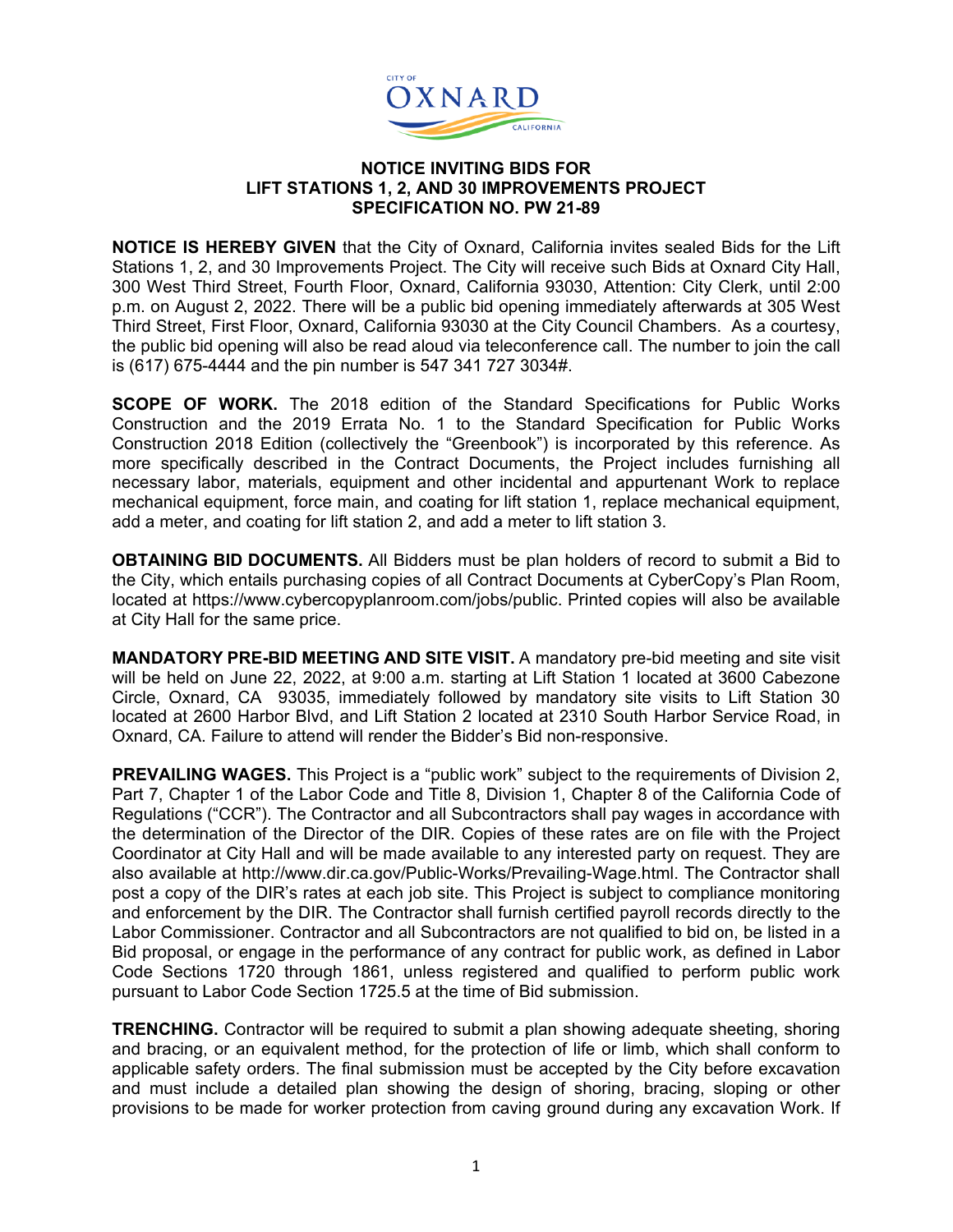

## **NOTICE INVITING BIDS FOR LIFT STATIONS 1, 2, AND 30 IMPROVEMENTS PROJECT SPECIFICATION NO. PW 21-89**

**NOTICE IS HEREBY GIVEN** that the City of Oxnard, California invites sealed Bids for the Lift Stations 1, 2, and 30 Improvements Project. The City will receive such Bids at Oxnard City Hall, 300 West Third Street, Fourth Floor, Oxnard, California 93030, Attention: City Clerk, until 2:00 p.m. on August 2, 2022. There will be a public bid opening immediately afterwards at 305 West Third Street, First Floor, Oxnard, California 93030 at the City Council Chambers. As a courtesy, the public bid opening will also be read aloud via teleconference call. The number to join the call is (617) 675-4444 and the pin number is 547 341 727 3034#.

**SCOPE OF WORK.** The 2018 edition of the Standard Specifications for Public Works Construction and the 2019 Errata No. 1 to the Standard Specification for Public Works Construction 2018 Edition (collectively the "Greenbook") is incorporated by this reference. As more specifically described in the Contract Documents, the Project includes furnishing all necessary labor, materials, equipment and other incidental and appurtenant Work to replace mechanical equipment, force main, and coating for lift station 1, replace mechanical equipment, add a meter, and coating for lift station 2, and add a meter to lift station 3.

**OBTAINING BID DOCUMENTS.** All Bidders must be plan holders of record to submit a Bid to the City, which entails purchasing copies of all Contract Documents at CyberCopy's Plan Room, located at https://www.cybercopyplanroom.com/jobs/public. Printed copies will also be available at City Hall for the same price.

**MANDATORY PRE-BID MEETING AND SITE VISIT.** A mandatory pre-bid meeting and site visit will be held on June 22, 2022, at 9:00 a.m. starting at Lift Station 1 located at 3600 Cabezone Circle, Oxnard, CA 93035, immediately followed by mandatory site visits to Lift Station 30 located at 2600 Harbor Blvd, and Lift Station 2 located at 2310 South Harbor Service Road, in Oxnard, CA. Failure to attend will render the Bidder's Bid non-responsive.

**PREVAILING WAGES.** This Project is a "public work" subject to the requirements of Division 2, Part 7, Chapter 1 of the Labor Code and Title 8, Division 1, Chapter 8 of the California Code of Regulations ("CCR"). The Contractor and all Subcontractors shall pay wages in accordance with the determination of the Director of the DIR. Copies of these rates are on file with the Project Coordinator at City Hall and will be made available to any interested party on request. They are also available at http://www.dir.ca.gov/Public-Works/Prevailing-Wage.html. The Contractor shall post a copy of the DIR's rates at each job site. This Project is subject to compliance monitoring and enforcement by the DIR. The Contractor shall furnish certified payroll records directly to the Labor Commissioner. Contractor and all Subcontractors are not qualified to bid on, be listed in a Bid proposal, or engage in the performance of any contract for public work, as defined in Labor Code Sections 1720 through 1861, unless registered and qualified to perform public work pursuant to Labor Code Section 1725.5 at the time of Bid submission.

**TRENCHING.** Contractor will be required to submit a plan showing adequate sheeting, shoring and bracing, or an equivalent method, for the protection of life or limb, which shall conform to applicable safety orders. The final submission must be accepted by the City before excavation and must include a detailed plan showing the design of shoring, bracing, sloping or other provisions to be made for worker protection from caving ground during any excavation Work. If